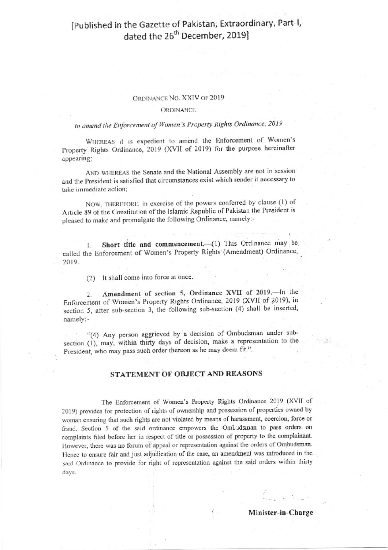## [Published in the Gazette of Pakistan, Extraordinary, Part-I, dated the 26<sup>th</sup> December, 2019]

#### ORDINANCE NO. XXIV OF 2019

#### ORDINANCE

### to amend the Enforcement of Women's Property Rights Ordinance, 2019

WHEREAS it is expedient to amend the Enforcement of Women's Property Rights Ordinance, 2019 (XVII of 2019) for the purpose hereinafter appearing;

AND WHEREAS the Senate and the National Assembly are not in session and the President is satisfied that circumstances exist which render it necessary to take immediate action;

NOW, THEREFORE, in exercise of the powers conferred by clause (1) of Article 89 of the Constitution of the Islamic Republic of Pakistan the President is pleased to make and promulgate the following Ordinance, namely:-

Short title and commencement.- (1) This Ordinance may be  $\mathbf{I}$ . called the Enforcement of Women's Property Rights (Amendment) Ordinance, 2019.

(2) It shall come into force at once.

Amendment of section 5, Ordinance XVII of 2019. In the  $2.$ Enforcement of Women's Property Rights Ordinance, 2019 (XVII of 2019), in section 5, after sub-section 3, the following sub-section (4) shall be inserted, namely:-

"(4) Any person aggrieved by a decision of Ombudsman under subsection (1), may, within thirty days of decision, make a representation to the President, who may pass such order thereon as he may deem fit.".

#### STATEMENT OF OBJECT AND REASONS

The Enforcement of Women's Property Rights Ordinance 2019 (XVII of 2019) provides for protection of rights of ownership and possession of properties owned by woman ensuring that such rights are not violated by means of harassment, coercion, force or fraud. Section 5 of the said ordinance empowers the Ombudsman to pass orders on complaints filed before her in respect of title or possession of property to the complainant. However, there was no forum of appeal or representation against the orders of Ombudsman. Hence to ensure fair and just adjudication of the case, an amendment was introduced in the said Ordinance to provide for right of representation against the said orders within thirty days.

Minister-in-Charge